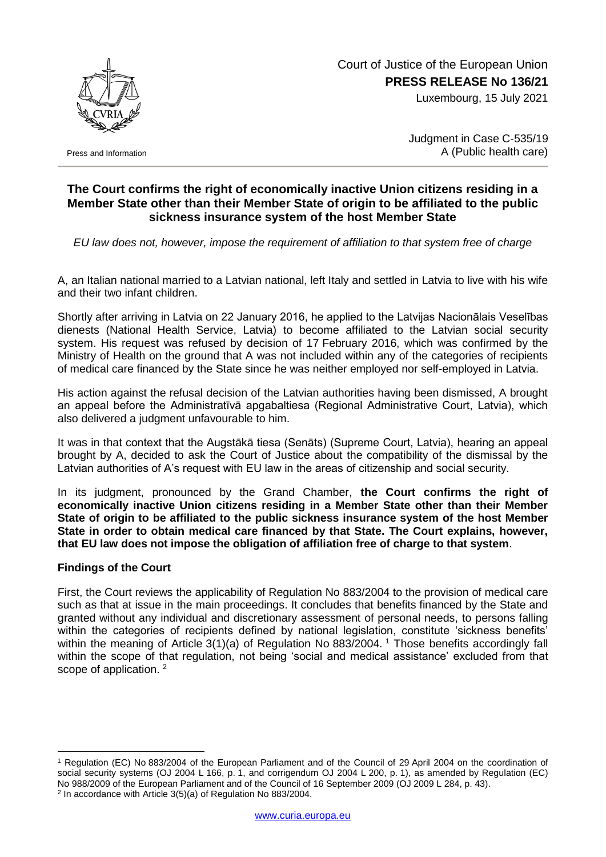

Press and Information

## Court of Justice of the European Union **PRESS RELEASE No 136/21**

Luxembourg, 15 July 2021

Judgment in Case C-535/19 A (Public health care)

## **The Court confirms the right of economically inactive Union citizens residing in a Member State other than their Member State of origin to be affiliated to the public sickness insurance system of the host Member State**

*EU law does not, however, impose the requirement of affiliation to that system free of charge*

A, an Italian national married to a Latvian national, left Italy and settled in Latvia to live with his wife and their two infant children.

Shortly after arriving in Latvia on 22 January 2016, he applied to the Latvijas Nacionālais Veselības dienests (National Health Service, Latvia) to become affiliated to the Latvian social security system. His request was refused by decision of 17 February 2016, which was confirmed by the Ministry of Health on the ground that A was not included within any of the categories of recipients of medical care financed by the State since he was neither employed nor self-employed in Latvia.

His action against the refusal decision of the Latvian authorities having been dismissed, A brought an appeal before the Administratīvā apgabaltiesa (Regional Administrative Court, Latvia), which also delivered a judgment unfavourable to him.

It was in that context that the Augstākā tiesa (Senāts) (Supreme Court, Latvia), hearing an appeal brought by A, decided to ask the Court of Justice about the compatibility of the dismissal by the Latvian authorities of A's request with EU law in the areas of citizenship and social security.

In its judgment, pronounced by the Grand Chamber, **the Court confirms the right of economically inactive Union citizens residing in a Member State other than their Member State of origin to be affiliated to the public sickness insurance system of the host Member State in order to obtain medical care financed by that State. The Court explains, however, that EU law does not impose the obligation of affiliation free of charge to that system**.

## **Findings of the Court**

1

First, the Court reviews the applicability of Regulation No 883/2004 to the provision of medical care such as that at issue in the main proceedings. It concludes that benefits financed by the State and granted without any individual and discretionary assessment of personal needs, to persons falling within the categories of recipients defined by national legislation, constitute 'sickness benefits' within the meaning of Article 3(1)(a) of Regulation No 883/2004. <sup>1</sup> Those benefits accordingly fall within the scope of that regulation, not being 'social and medical assistance' excluded from that scope of application.<sup>2</sup>

<sup>1</sup> Regulation (EC) No 883/2004 of the European Parliament and of the Council of 29 April 2004 on the coordination of social security systems (OJ 2004 L 166, p. 1, and corrigendum OJ 2004 L 200, p. 1), as amended by Regulation (EC) No 988/2009 of the European Parliament and of the Council of 16 September 2009 (OJ 2009 L 284, p. 43). 2 In accordance with Article 3(5)(a) of Regulation No 883/2004.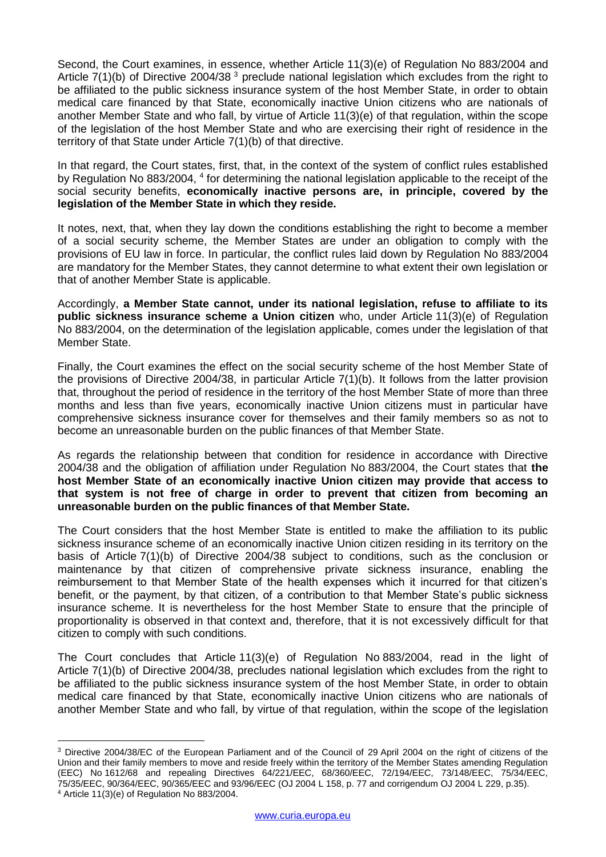Second, the Court examines, in essence, whether Article 11(3)(e) of Regulation No 883/2004 and Article 7(1)(b) of Directive 2004/38<sup>3</sup> preclude national legislation which excludes from the right to be affiliated to the public sickness insurance system of the host Member State, in order to obtain medical care financed by that State, economically inactive Union citizens who are nationals of another Member State and who fall, by virtue of Article 11(3)(e) of that regulation, within the scope of the legislation of the host Member State and who are exercising their right of residence in the territory of that State under Article 7(1)(b) of that directive.

In that regard, the Court states, first, that, in the context of the system of conflict rules established by Regulation No 883/2004, <sup>4</sup> for determining the national legislation applicable to the receipt of the social security benefits, **economically inactive persons are, in principle, covered by the legislation of the Member State in which they reside.**

It notes, next, that, when they lay down the conditions establishing the right to become a member of a social security scheme, the Member States are under an obligation to comply with the provisions of EU law in force. In particular, the conflict rules laid down by Regulation No 883/2004 are mandatory for the Member States, they cannot determine to what extent their own legislation or that of another Member State is applicable.

Accordingly, **a Member State cannot, under its national legislation, refuse to affiliate to its public sickness insurance scheme a Union citizen** who, under Article 11(3)(e) of Regulation No 883/2004, on the determination of the legislation applicable, comes under the legislation of that Member State.

Finally, the Court examines the effect on the social security scheme of the host Member State of the provisions of Directive 2004/38, in particular Article 7(1)(b). It follows from the latter provision that, throughout the period of residence in the territory of the host Member State of more than three months and less than five years, economically inactive Union citizens must in particular have comprehensive sickness insurance cover for themselves and their family members so as not to become an unreasonable burden on the public finances of that Member State.

As regards the relationship between that condition for residence in accordance with Directive 2004/38 and the obligation of affiliation under Regulation No 883/2004, the Court states that **the host Member State of an economically inactive Union citizen may provide that access to that system is not free of charge in order to prevent that citizen from becoming an unreasonable burden on the public finances of that Member State.**

The Court considers that the host Member State is entitled to make the affiliation to its public sickness insurance scheme of an economically inactive Union citizen residing in its territory on the basis of Article 7(1)(b) of Directive 2004/38 subject to conditions, such as the conclusion or maintenance by that citizen of comprehensive private sickness insurance, enabling the reimbursement to that Member State of the health expenses which it incurred for that citizen's benefit, or the payment, by that citizen, of a contribution to that Member State's public sickness insurance scheme. It is nevertheless for the host Member State to ensure that the principle of proportionality is observed in that context and, therefore, that it is not excessively difficult for that citizen to comply with such conditions.

The Court concludes that Article 11(3)(e) of Regulation No 883/2004, read in the light of Article 7(1)(b) of Directive 2004/38, precludes national legislation which excludes from the right to be affiliated to the public sickness insurance system of the host Member State, in order to obtain medical care financed by that State, economically inactive Union citizens who are nationals of another Member State and who fall, by virtue of that regulation, within the scope of the legislation

1

<sup>3</sup> Directive 2004/38/EC of the European Parliament and of the Council of 29 April 2004 on the right of citizens of the Union and their family members to move and reside freely within the territory of the Member States amending Regulation (EEC) No 1612/68 and repealing Directives 64/221/EEC, 68/360/EEC, 72/194/EEC, 73/148/EEC, 75/34/EEC, 75/35/EEC, 90/364/EEC, 90/365/EEC and 93/96/EEC (OJ 2004 L 158, p. 77 and corrigendum OJ 2004 L 229, p.35). <sup>4</sup> Article 11(3)(e) of Regulation No 883/2004.